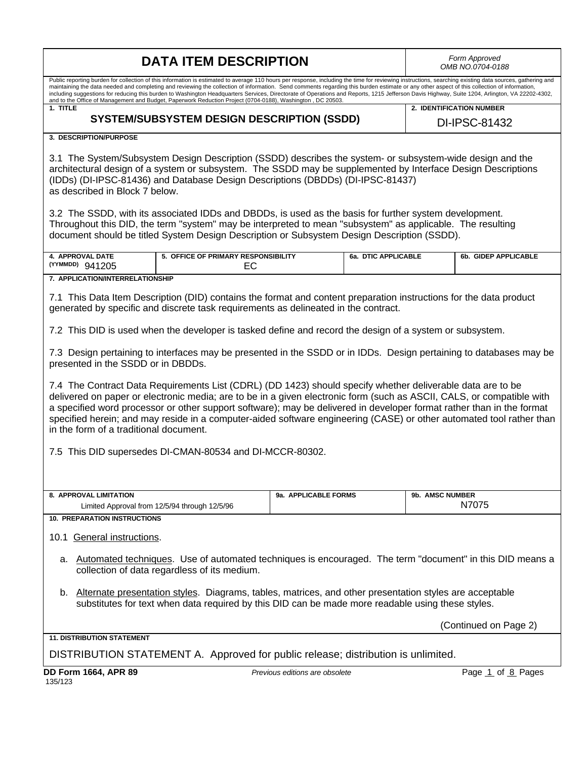| <b>DATA ITEM DESCRIPTION</b>                                                                                                                                                                                                                                                                                                                                                                                                                                                                                                                                                                                                                                                                                            |                                |                     | Form Approved<br>OMB NO.0704-0188 |                       |
|-------------------------------------------------------------------------------------------------------------------------------------------------------------------------------------------------------------------------------------------------------------------------------------------------------------------------------------------------------------------------------------------------------------------------------------------------------------------------------------------------------------------------------------------------------------------------------------------------------------------------------------------------------------------------------------------------------------------------|--------------------------------|---------------------|-----------------------------------|-----------------------|
| Public reporting burden for collection of this information is estimated to average 110 hours per response, including the time for reviewing instructions, searching existing data sources, gathering and<br>maintaining the data needed and completing and reviewing the collection of information. Send comments regarding this burden estimate or any other aspect of this collection of information,<br>including suggestions for reducing this burden to Washington Headquarters Services, Directorate of Operations and Reports, 1215 Jefferson Davis Highway, Suite 1204, Arlington, VA 22202-4302,<br>and to the Office of Management and Budget, Paperwork Reduction Project (0704-0188), Washington, DC 20503. |                                |                     |                                   |                       |
| 1. TITLE                                                                                                                                                                                                                                                                                                                                                                                                                                                                                                                                                                                                                                                                                                                |                                |                     | 2. IDENTIFICATION NUMBER          |                       |
| <b>SYSTEM/SUBSYSTEM DESIGN DESCRIPTION (SSDD)</b>                                                                                                                                                                                                                                                                                                                                                                                                                                                                                                                                                                                                                                                                       |                                |                     | DI-IPSC-81432                     |                       |
| 3. DESCRIPTION/PURPOSE                                                                                                                                                                                                                                                                                                                                                                                                                                                                                                                                                                                                                                                                                                  |                                |                     |                                   |                       |
| 3.1 The System/Subsystem Design Description (SSDD) describes the system- or subsystem-wide design and the<br>architectural design of a system or subsystem. The SSDD may be supplemented by Interface Design Descriptions<br>(IDDs) (DI-IPSC-81436) and Database Design Descriptions (DBDDs) (DI-IPSC-81437)<br>as described in Block 7 below.                                                                                                                                                                                                                                                                                                                                                                          |                                |                     |                                   |                       |
| 3.2 The SSDD, with its associated IDDs and DBDDs, is used as the basis for further system development.<br>Throughout this DID, the term "system" may be interpreted to mean "subsystem" as applicable. The resulting<br>document should be titled System Design Description or Subsystem Design Description (SSDD).                                                                                                                                                                                                                                                                                                                                                                                                     |                                |                     |                                   |                       |
| 4. APPROVAL DATE<br>5. OFFICE OF PRIMARY RESPONSIBILITY<br>(YYMMDD) 941205<br>EC                                                                                                                                                                                                                                                                                                                                                                                                                                                                                                                                                                                                                                        |                                | 6a. DTIC APPLICABLE |                                   | 6b. GIDEP APPLICABLE  |
| 7. APPLICATION/INTERRELATIONSHIP                                                                                                                                                                                                                                                                                                                                                                                                                                                                                                                                                                                                                                                                                        |                                |                     |                                   |                       |
| 7.1 This Data Item Description (DID) contains the format and content preparation instructions for the data product<br>generated by specific and discrete task requirements as delineated in the contract.                                                                                                                                                                                                                                                                                                                                                                                                                                                                                                               |                                |                     |                                   |                       |
| 7.2 This DID is used when the developer is tasked define and record the design of a system or subsystem.                                                                                                                                                                                                                                                                                                                                                                                                                                                                                                                                                                                                                |                                |                     |                                   |                       |
| 7.3 Design pertaining to interfaces may be presented in the SSDD or in IDDs. Design pertaining to databases may be<br>presented in the SSDD or in DBDDs.                                                                                                                                                                                                                                                                                                                                                                                                                                                                                                                                                                |                                |                     |                                   |                       |
| 7.4 The Contract Data Requirements List (CDRL) (DD 1423) should specify whether deliverable data are to be<br>delivered on paper or electronic media; are to be in a given electronic form (such as ASCII, CALS, or compatible with<br>a specified word processor or other support software); may be delivered in developer format rather than in the format<br>specified herein; and may reside in a computer-aided software engineering (CASE) or other automated tool rather than<br>in the form of a traditional document.                                                                                                                                                                                          |                                |                     |                                   |                       |
| 7.5 This DID supersedes DI-CMAN-80534 and DI-MCCR-80302.                                                                                                                                                                                                                                                                                                                                                                                                                                                                                                                                                                                                                                                                |                                |                     |                                   |                       |
|                                                                                                                                                                                                                                                                                                                                                                                                                                                                                                                                                                                                                                                                                                                         |                                |                     |                                   |                       |
|                                                                                                                                                                                                                                                                                                                                                                                                                                                                                                                                                                                                                                                                                                                         |                                |                     |                                   |                       |
| 8. APPROVAL LIMITATION                                                                                                                                                                                                                                                                                                                                                                                                                                                                                                                                                                                                                                                                                                  | 9a. APPLICABLE FORMS           |                     | 9b. AMSC NUMBER                   |                       |
| Limited Approval from 12/5/94 through 12/5/96                                                                                                                                                                                                                                                                                                                                                                                                                                                                                                                                                                                                                                                                           |                                |                     |                                   | N7075                 |
| <b>10. PREPARATION INSTRUCTIONS</b><br>10.1 General instructions.                                                                                                                                                                                                                                                                                                                                                                                                                                                                                                                                                                                                                                                       |                                |                     |                                   |                       |
| a. Automated techniques. Use of automated techniques is encouraged. The term "document" in this DID means a<br>collection of data regardless of its medium.                                                                                                                                                                                                                                                                                                                                                                                                                                                                                                                                                             |                                |                     |                                   |                       |
| b. Alternate presentation styles. Diagrams, tables, matrices, and other presentation styles are acceptable<br>substitutes for text when data required by this DID can be made more readable using these styles.                                                                                                                                                                                                                                                                                                                                                                                                                                                                                                         |                                |                     |                                   |                       |
|                                                                                                                                                                                                                                                                                                                                                                                                                                                                                                                                                                                                                                                                                                                         |                                |                     |                                   | (Continued on Page 2) |
| <b>11. DISTRIBUTION STATEMENT</b>                                                                                                                                                                                                                                                                                                                                                                                                                                                                                                                                                                                                                                                                                       |                                |                     |                                   |                       |
| DISTRIBUTION STATEMENT A. Approved for public release; distribution is unlimited.                                                                                                                                                                                                                                                                                                                                                                                                                                                                                                                                                                                                                                       |                                |                     |                                   |                       |
| <b>DD Form 1664, APR 89</b><br>135/123                                                                                                                                                                                                                                                                                                                                                                                                                                                                                                                                                                                                                                                                                  | Previous editions are obsolete |                     |                                   | Page 1 of 8 Pages     |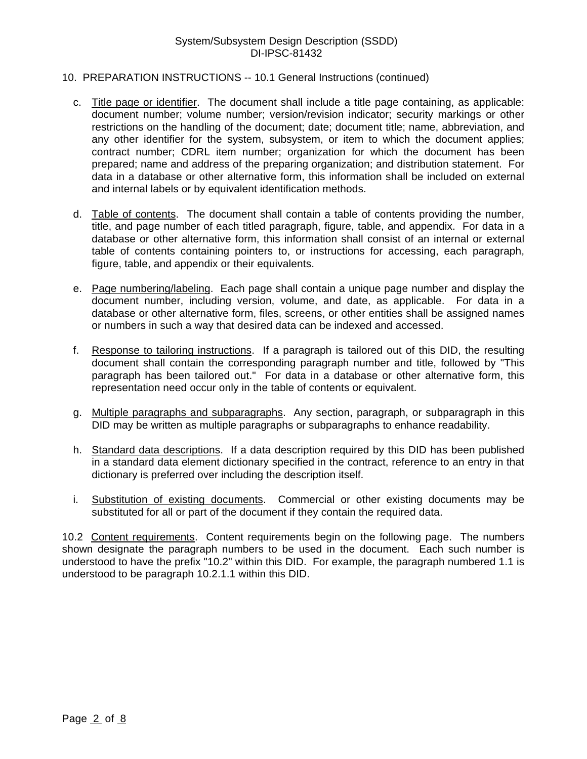## System/Subsystem Design Description (SSDD) DI-IPSC-81432

### 10. PREPARATION INSTRUCTIONS -- 10.1 General Instructions (continued)

- c. Title page or identifier. The document shall include a title page containing, as applicable: document number; volume number; version/revision indicator; security markings or other restrictions on the handling of the document; date; document title; name, abbreviation, and any other identifier for the system, subsystem, or item to which the document applies; contract number; CDRL item number; organization for which the document has been prepared; name and address of the preparing organization; and distribution statement. For data in a database or other alternative form, this information shall be included on external and internal labels or by equivalent identification methods.
- d. Table of contents. The document shall contain a table of contents providing the number, title, and page number of each titled paragraph, figure, table, and appendix. For data in a database or other alternative form, this information shall consist of an internal or external table of contents containing pointers to, or instructions for accessing, each paragraph, figure, table, and appendix or their equivalents.
- e. Page numbering/labeling. Each page shall contain a unique page number and display the document number, including version, volume, and date, as applicable. For data in a database or other alternative form, files, screens, or other entities shall be assigned names or numbers in such a way that desired data can be indexed and accessed.
- f. Response to tailoring instructions. If a paragraph is tailored out of this DID, the resulting document shall contain the corresponding paragraph number and title, followed by "This paragraph has been tailored out." For data in a database or other alternative form, this representation need occur only in the table of contents or equivalent.
- g. Multiple paragraphs and subparagraphs. Any section, paragraph, or subparagraph in this DID may be written as multiple paragraphs or subparagraphs to enhance readability.
- h. Standard data descriptions. If a data description required by this DID has been published in a standard data element dictionary specified in the contract, reference to an entry in that dictionary is preferred over including the description itself.
- i. Substitution of existing documents. Commercial or other existing documents may be substituted for all or part of the document if they contain the required data.

10.2 Content requirements. Content requirements begin on the following page. The numbers shown designate the paragraph numbers to be used in the document. Each such number is understood to have the prefix "10.2" within this DID. For example, the paragraph numbered 1.1 is understood to be paragraph 10.2.1.1 within this DID.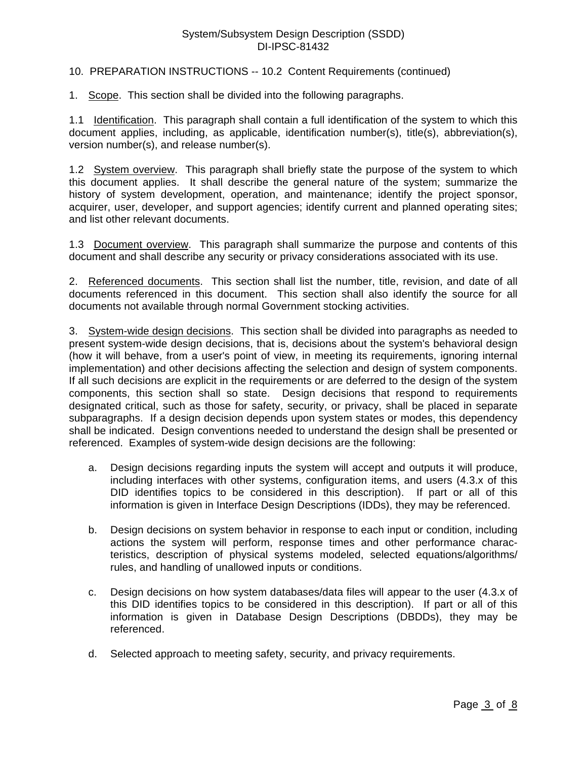# System/Subsystem Design Description (SSDD) DI-IPSC-81432

## 10. PREPARATION INSTRUCTIONS -- 10.2 Content Requirements (continued)

1. Scope. This section shall be divided into the following paragraphs.

1.1 Identification. This paragraph shall contain a full identification of the system to which this document applies, including, as applicable, identification number(s), title(s), abbreviation(s), version number(s), and release number(s).

1.2 System overview. This paragraph shall briefly state the purpose of the system to which this document applies. It shall describe the general nature of the system; summarize the history of system development, operation, and maintenance; identify the project sponsor, acquirer, user, developer, and support agencies; identify current and planned operating sites; and list other relevant documents.

1.3 Document overview. This paragraph shall summarize the purpose and contents of this document and shall describe any security or privacy considerations associated with its use.

2. Referenced documents. This section shall list the number, title, revision, and date of all documents referenced in this document. This section shall also identify the source for all documents not available through normal Government stocking activities.

3. System-wide design decisions. This section shall be divided into paragraphs as needed to present system-wide design decisions, that is, decisions about the system's behavioral design (how it will behave, from a user's point of view, in meeting its requirements, ignoring internal implementation) and other decisions affecting the selection and design of system components. If all such decisions are explicit in the requirements or are deferred to the design of the system components, this section shall so state. Design decisions that respond to requirements designated critical, such as those for safety, security, or privacy, shall be placed in separate subparagraphs. If a design decision depends upon system states or modes, this dependency shall be indicated. Design conventions needed to understand the design shall be presented or referenced. Examples of system-wide design decisions are the following:

- a. Design decisions regarding inputs the system will accept and outputs it will produce, including interfaces with other systems, configuration items, and users (4.3.x of this DID identifies topics to be considered in this description). If part or all of this information is given in Interface Design Descriptions (IDDs), they may be referenced.
- b. Design decisions on system behavior in response to each input or condition, including actions the system will perform, response times and other performance characteristics, description of physical systems modeled, selected equations/algorithms/ rules, and handling of unallowed inputs or conditions.
- c. Design decisions on how system databases/data files will appear to the user (4.3.x of this DID identifies topics to be considered in this description). If part or all of this information is given in Database Design Descriptions (DBDDs), they may be referenced.
- d. Selected approach to meeting safety, security, and privacy requirements.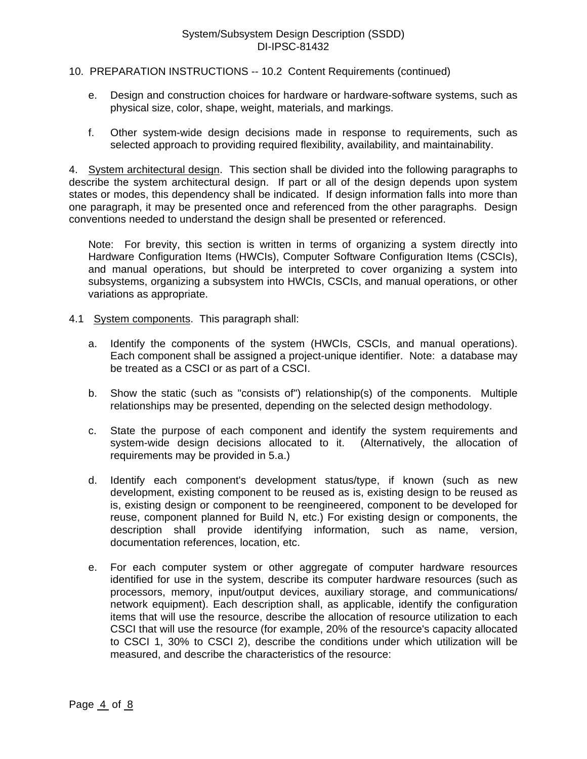## 10. PREPARATION INSTRUCTIONS -- 10.2 Content Requirements (continued)

- e. Design and construction choices for hardware or hardware-software systems, such as physical size, color, shape, weight, materials, and markings.
- f. Other system-wide design decisions made in response to requirements, such as selected approach to providing required flexibility, availability, and maintainability.

4. System architectural design. This section shall be divided into the following paragraphs to describe the system architectural design. If part or all of the design depends upon system states or modes, this dependency shall be indicated. If design information falls into more than one paragraph, it may be presented once and referenced from the other paragraphs. Design conventions needed to understand the design shall be presented or referenced.

Note: For brevity, this section is written in terms of organizing a system directly into Hardware Configuration Items (HWCIs), Computer Software Configuration Items (CSCIs), and manual operations, but should be interpreted to cover organizing a system into subsystems, organizing a subsystem into HWCIs, CSCIs, and manual operations, or other variations as appropriate.

- 4.1 System components. This paragraph shall:
	- a. Identify the components of the system (HWCIs, CSCIs, and manual operations). Each component shall be assigned a project-unique identifier. Note: a database may be treated as a CSCI or as part of a CSCI.
	- b. Show the static (such as "consists of") relationship(s) of the components. Multiple relationships may be presented, depending on the selected design methodology.
	- c. State the purpose of each component and identify the system requirements and system-wide design decisions allocated to it. (Alternatively, the allocation of requirements may be provided in 5.a.)
	- d. Identify each component's development status/type, if known (such as new development, existing component to be reused as is, existing design to be reused as is, existing design or component to be reengineered, component to be developed for reuse, component planned for Build N, etc.) For existing design or components, the description shall provide identifying information, such as name, version, documentation references, location, etc.
	- e. For each computer system or other aggregate of computer hardware resources identified for use in the system, describe its computer hardware resources (such as processors, memory, input/output devices, auxiliary storage, and communications/ network equipment). Each description shall, as applicable, identify the configuration items that will use the resource, describe the allocation of resource utilization to each CSCI that will use the resource (for example, 20% of the resource's capacity allocated to CSCI 1, 30% to CSCI 2), describe the conditions under which utilization will be measured, and describe the characteristics of the resource: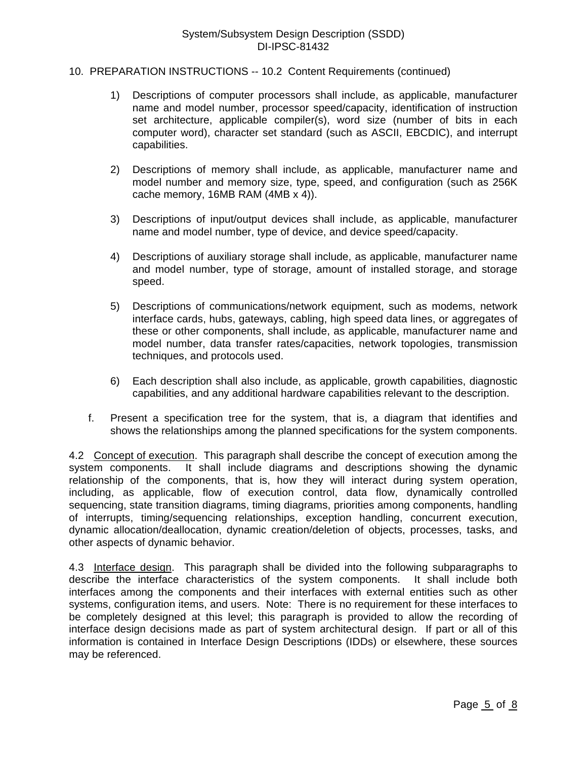### 10. PREPARATION INSTRUCTIONS -- 10.2 Content Requirements (continued)

- 1) Descriptions of computer processors shall include, as applicable, manufacturer name and model number, processor speed/capacity, identification of instruction set architecture, applicable compiler(s), word size (number of bits in each computer word), character set standard (such as ASCII, EBCDIC), and interrupt capabilities.
- 2) Descriptions of memory shall include, as applicable, manufacturer name and model number and memory size, type, speed, and configuration (such as 256K cache memory, 16MB RAM (4MB x 4)).
- 3) Descriptions of input/output devices shall include, as applicable, manufacturer name and model number, type of device, and device speed/capacity.
- 4) Descriptions of auxiliary storage shall include, as applicable, manufacturer name and model number, type of storage, amount of installed storage, and storage speed.
- 5) Descriptions of communications/network equipment, such as modems, network interface cards, hubs, gateways, cabling, high speed data lines, or aggregates of these or other components, shall include, as applicable, manufacturer name and model number, data transfer rates/capacities, network topologies, transmission techniques, and protocols used.
- 6) Each description shall also include, as applicable, growth capabilities, diagnostic capabilities, and any additional hardware capabilities relevant to the description.
- f. Present a specification tree for the system, that is, a diagram that identifies and shows the relationships among the planned specifications for the system components.

4.2 Concept of execution. This paragraph shall describe the concept of execution among the system components. It shall include diagrams and descriptions showing the dynamic relationship of the components, that is, how they will interact during system operation, including, as applicable, flow of execution control, data flow, dynamically controlled sequencing, state transition diagrams, timing diagrams, priorities among components, handling of interrupts, timing/sequencing relationships, exception handling, concurrent execution, dynamic allocation/deallocation, dynamic creation/deletion of objects, processes, tasks, and other aspects of dynamic behavior.

4.3 Interface design. This paragraph shall be divided into the following subparagraphs to describe the interface characteristics of the system components. It shall include both interfaces among the components and their interfaces with external entities such as other systems, configuration items, and users. Note: There is no requirement for these interfaces to be completely designed at this level; this paragraph is provided to allow the recording of interface design decisions made as part of system architectural design. If part or all of this information is contained in Interface Design Descriptions (IDDs) or elsewhere, these sources may be referenced.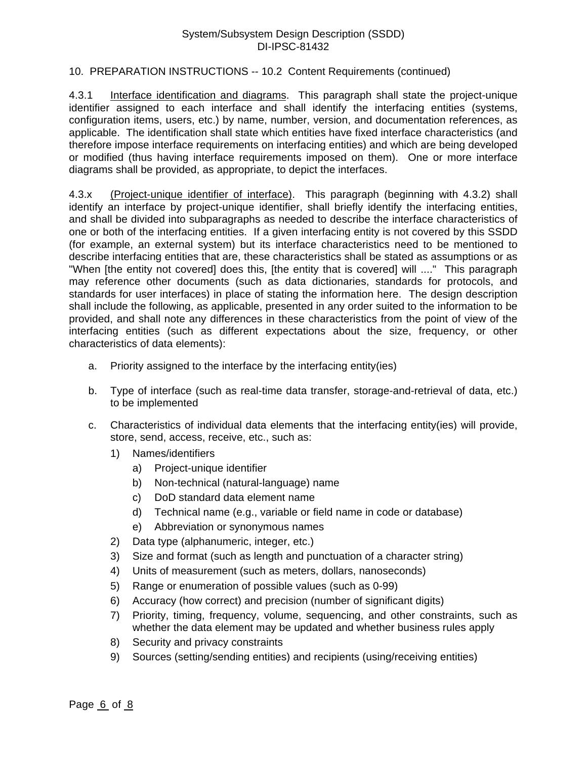# 10. PREPARATION INSTRUCTIONS -- 10.2 Content Requirements (continued)

4.3.1 Interface identification and diagrams. This paragraph shall state the project-unique identifier assigned to each interface and shall identify the interfacing entities (systems, configuration items, users, etc.) by name, number, version, and documentation references, as applicable. The identification shall state which entities have fixed interface characteristics (and therefore impose interface requirements on interfacing entities) and which are being developed or modified (thus having interface requirements imposed on them). One or more interface diagrams shall be provided, as appropriate, to depict the interfaces.

4.3.x (Project-unique identifier of interface). This paragraph (beginning with 4.3.2) shall identify an interface by project-unique identifier, shall briefly identify the interfacing entities, and shall be divided into subparagraphs as needed to describe the interface characteristics of one or both of the interfacing entities. If a given interfacing entity is not covered by this SSDD (for example, an external system) but its interface characteristics need to be mentioned to describe interfacing entities that are, these characteristics shall be stated as assumptions or as "When [the entity not covered] does this, [the entity that is covered] will ...." This paragraph may reference other documents (such as data dictionaries, standards for protocols, and standards for user interfaces) in place of stating the information here. The design description shall include the following, as applicable, presented in any order suited to the information to be provided, and shall note any differences in these characteristics from the point of view of the interfacing entities (such as different expectations about the size, frequency, or other characteristics of data elements):

- a. Priority assigned to the interface by the interfacing entity(ies)
- b. Type of interface (such as real-time data transfer, storage-and-retrieval of data, etc.) to be implemented
- c. Characteristics of individual data elements that the interfacing entity(ies) will provide, store, send, access, receive, etc., such as:
	- 1) Names/identifiers
		- a) Project-unique identifier
		- b) Non-technical (natural-language) name
		- c) DoD standard data element name
		- d) Technical name (e.g., variable or field name in code or database)
		- e) Abbreviation or synonymous names
	- 2) Data type (alphanumeric, integer, etc.)
	- 3) Size and format (such as length and punctuation of a character string)
	- 4) Units of measurement (such as meters, dollars, nanoseconds)
	- 5) Range or enumeration of possible values (such as 0-99)
	- 6) Accuracy (how correct) and precision (number of significant digits)
	- 7) Priority, timing, frequency, volume, sequencing, and other constraints, such as whether the data element may be updated and whether business rules apply
	- 8) Security and privacy constraints
	- 9) Sources (setting/sending entities) and recipients (using/receiving entities)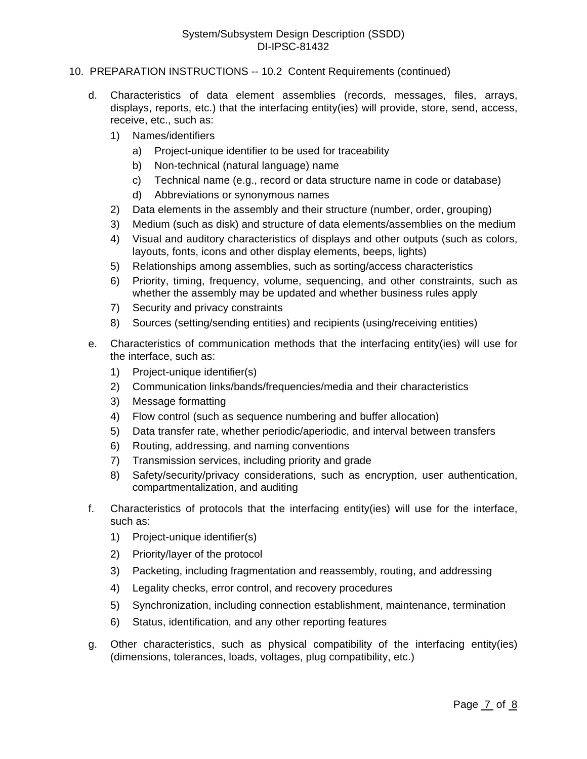- 10. PREPARATION INSTRUCTIONS -- 10.2 Content Requirements (continued)
	- d. Characteristics of data element assemblies (records, messages, files, arrays, displays, reports, etc.) that the interfacing entity(ies) will provide, store, send, access, receive, etc., such as:
		- 1) Names/identifiers
			- a) Project-unique identifier to be used for traceability
			- b) Non-technical (natural language) name
			- c) Technical name (e.g., record or data structure name in code or database)
			- d) Abbreviations or synonymous names
		- 2) Data elements in the assembly and their structure (number, order, grouping)
		- 3) Medium (such as disk) and structure of data elements/assemblies on the medium
		- 4) Visual and auditory characteristics of displays and other outputs (such as colors, layouts, fonts, icons and other display elements, beeps, lights)
		- 5) Relationships among assemblies, such as sorting/access characteristics
		- 6) Priority, timing, frequency, volume, sequencing, and other constraints, such as whether the assembly may be updated and whether business rules apply
		- 7) Security and privacy constraints
		- 8) Sources (setting/sending entities) and recipients (using/receiving entities)
	- e. Characteristics of communication methods that the interfacing entity(ies) will use for the interface, such as:
		- 1) Project-unique identifier(s)
		- 2) Communication links/bands/frequencies/media and their characteristics
		- 3) Message formatting
		- 4) Flow control (such as sequence numbering and buffer allocation)
		- 5) Data transfer rate, whether periodic/aperiodic, and interval between transfers
		- 6) Routing, addressing, and naming conventions
		- 7) Transmission services, including priority and grade
		- 8) Safety/security/privacy considerations, such as encryption, user authentication, compartmentalization, and auditing
	- f. Characteristics of protocols that the interfacing entity(ies) will use for the interface, such as:
		- 1) Project-unique identifier(s)
		- 2) Priority/layer of the protocol
		- 3) Packeting, including fragmentation and reassembly, routing, and addressing
		- 4) Legality checks, error control, and recovery procedures
		- 5) Synchronization, including connection establishment, maintenance, termination
		- 6) Status, identification, and any other reporting features
	- g. Other characteristics, such as physical compatibility of the interfacing entity(ies) (dimensions, tolerances, loads, voltages, plug compatibility, etc.)